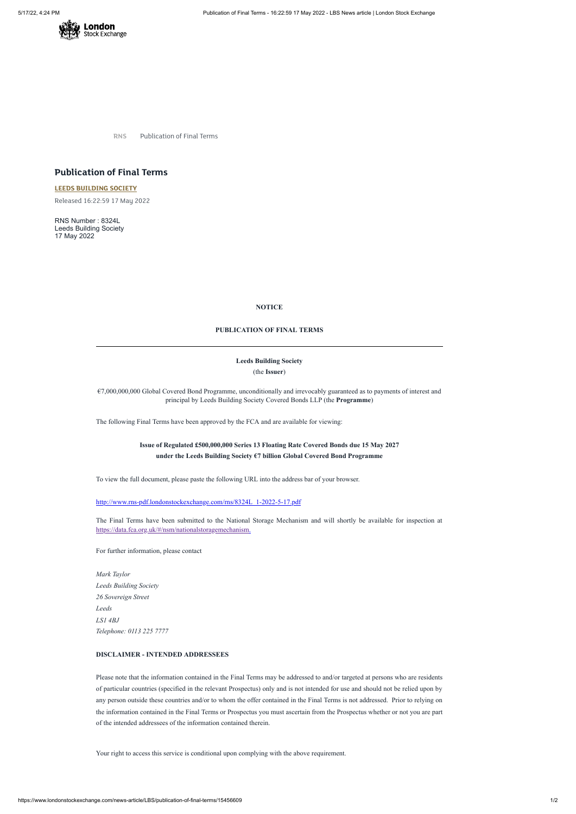

**RNS** Publication of Final Terms

# **Publication of Final Terms**

**LEEDS [BUILDING](https://www.londonstockexchange.com/stock/LBS/leeds-building-society) SOCIETY**

Released 16:22:59 17 May 2022

RNS Number : 8324L Leeds Building Society 17 May 2022

## **NOTICE**

## **PUBLICATION OF FINAL TERMS**

## **Leeds Building Society**

(the **Issuer**)

€7,000,000,000 Global Covered Bond Programme, unconditionally and irrevocably guaranteed as to payments of interest and principal by Leeds Building Society Covered Bonds LLP (the **Programme**)

The following Final Terms have been approved by the FCA and are available for viewing:

## **Issue of Regulated £500,000,000 Series 13 Floating Rate Covered Bonds due 15 May 2027 under the Leeds Building Society €7 billion Global Covered Bond Programme**

To view the full document, please paste the following URL into the address bar of your browser.

[http://www.rns-pdf.londonstockexchange.com/rns/8324L\\_1-2022-5-17.pdf](http://www.rns-pdf.londonstockexchange.com/rns/8324L_1-2022-5-17.pdf)

The Final Terms have been submitted to the National Storage Mechanism and will shortly be available for inspection at <https://data.fca.org.uk/#/nsm/nationalstoragemechanism>.

For further information, please contact

*Mark Taylor Leeds Building Society 26 Sovereign Street Leeds*

*LS1 4BJ Telephone: 0113 225 7777*

## **DISCLAIMER - INTENDED ADDRESSEES**

Please note that the information contained in the Final Terms may be addressed to and/or targeted at persons who are residents of particular countries (specified in the relevant Prospectus) only and is not intended for use and should not be relied upon by any person outside these countries and/or to whom the offer contained in the Final Terms is not addressed. Prior to relying on the information contained in the Final Terms or Prospectus you must ascertain from the Prospectus whether or not you are part of the intended addressees of the information contained therein.

Your right to access this service is conditional upon complying with the above requirement.